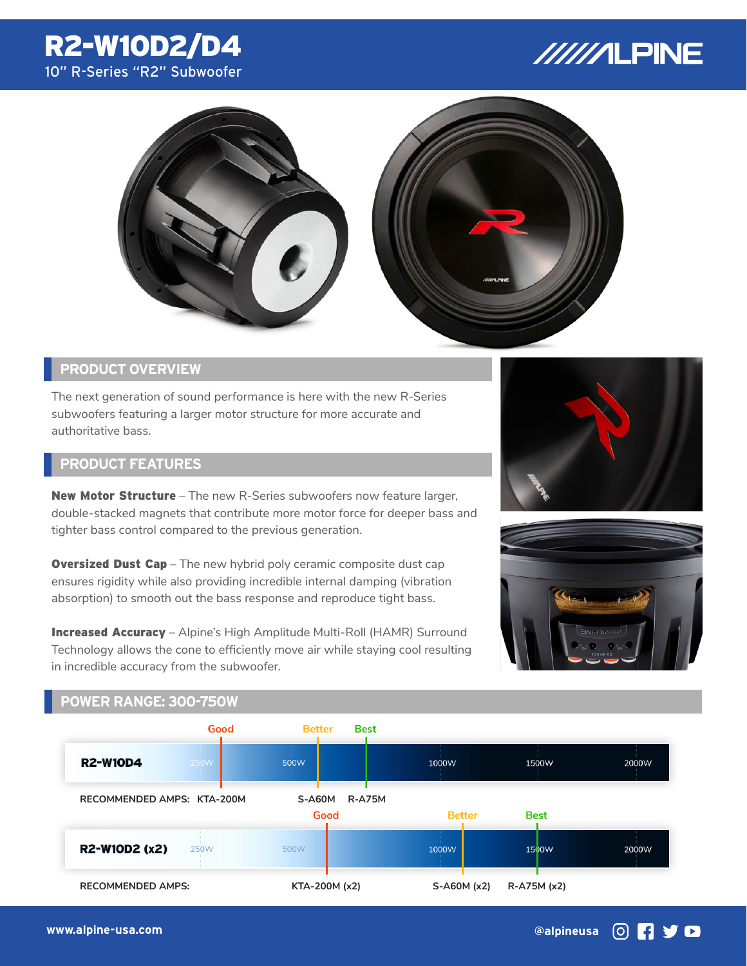# R2-W10D2/D4 10" R-Series "R2" Subwoofer

# //////LPINE



## **PRODUCT OVERVIEW**

The next generation of sound performance is here with the new R-Series subwoofers featuring a larger motor structure for more accurate and authoritative bass.

## **PRODUCT FEATURES**

**New Motor Structure** – The new R-Series subwoofers now feature larger, double-stacked magnets that contribute more motor force for deeper bass and tighter bass control compared to the previous generation.

**Oversized Dust Cap** – The new hybrid poly ceramic composite dust cap ensures rigidity while also providing incredible internal damping (vibration absorption) to smooth out the bass response and reproduce tight bass.

Increased Accuracy – Alpine's High Amplitude Multi-Roll (HAMR) Surround Technology allows the cone to efficiently move air while staying cool resulting in incredible accuracy from the subwoofer.





#### **POWER RANGE: 300-750W**